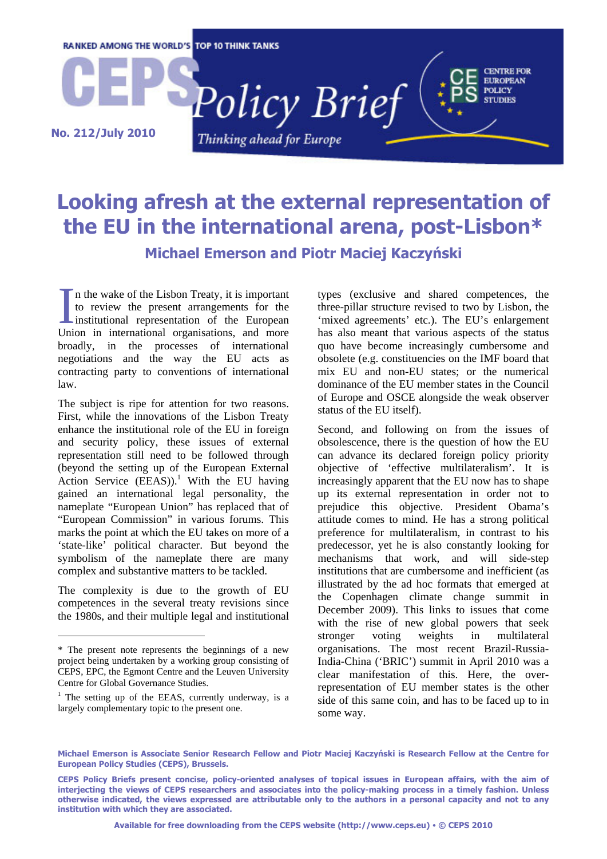

# **Looking afresh at the external representation of the EU in the international arena, post-Lisbon\* Michael Emerson and Piotr Maciej Kaczyński**

n the wake of the Lisbon Treaty, it is important to review the present arrangements for the In the wake of the Lisbon Treaty, it is important<br>to review the present arrangements for the<br>institutional representation of the European<br>Ilpion in international organisations, and more Union in international organisations, and more broadly, in the processes of international negotiations and the way the EU acts as contracting party to conventions of international law.

The subject is ripe for attention for two reasons. First, while the innovations of the Lisbon Treaty enhance the institutional role of the EU in foreign and security policy, these issues of external representation still need to be followed through (beyond the setting up of the European External Action Service  $(EEAS)$ .<sup>1</sup> With the EU having gained an international legal personality, the nameplate "European Union" has replaced that of "European Commission" in various forums. This marks the point at which the EU takes on more of a 'state-like' political character. But beyond the symbolism of the nameplate there are many complex and substantive matters to be tackled.

The complexity is due to the growth of EU competences in the several treaty revisions since the 1980s, and their multiple legal and institutional

l

types (exclusive and shared competences, the three-pillar structure revised to two by Lisbon, the 'mixed agreements' etc.). The EU's enlargement has also meant that various aspects of the status quo have become increasingly cumbersome and obsolete (e.g. constituencies on the IMF board that mix EU and non-EU states; or the numerical dominance of the EU member states in the Council of Europe and OSCE alongside the weak observer status of the EU itself).

Second, and following on from the issues of obsolescence, there is the question of how the EU can advance its declared foreign policy priority objective of 'effective multilateralism'. It is increasingly apparent that the EU now has to shape up its external representation in order not to prejudice this objective. President Obama's attitude comes to mind. He has a strong political preference for multilateralism, in contrast to his predecessor, yet he is also constantly looking for mechanisms that work, and will side-step institutions that are cumbersome and inefficient (as illustrated by the ad hoc formats that emerged at the Copenhagen climate change summit in December 2009). This links to issues that come with the rise of new global powers that seek stronger voting weights in multilateral organisations. The most recent Brazil-Russia-India-China ('BRIC') summit in April 2010 was a clear manifestation of this. Here, the overrepresentation of EU member states is the other side of this same coin, and has to be faced up to in some way.

**Michael Emerson is Associate Senior Research Fellow and Piotr Maciej Kaczyński is Research Fellow at the Centre for European Policy Studies (CEPS), Brussels.** 

<sup>\*</sup> The present note represents the beginnings of a new project being undertaken by a working group consisting of CEPS, EPC, the Egmont Centre and the Leuven University Centre for Global Governance Studies.

 $1$  The setting up of the EEAS, currently underway, is a largely complementary topic to the present one.

**CEPS Policy Briefs present concise, policy-oriented analyses of topical issues in European affairs, with the aim of interjecting the views of CEPS researchers and associates into the policy-making process in a timely fashion. Unless otherwise indicated, the views expressed are attributable only to the authors in a personal capacity and not to any institution with which they are associated.**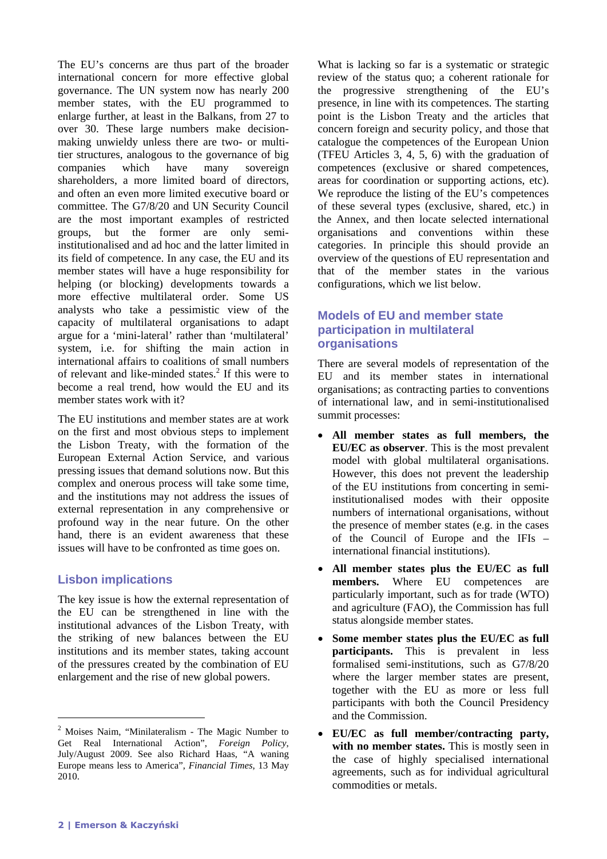The EU's concerns are thus part of the broader international concern for more effective global governance. The UN system now has nearly 200 member states, with the EU programmed to enlarge further, at least in the Balkans, from 27 to over 30. These large numbers make decisionmaking unwieldy unless there are two- or multitier structures, analogous to the governance of big companies which have many sovereign shareholders, a more limited board of directors, and often an even more limited executive board or committee. The G7/8/20 and UN Security Council are the most important examples of restricted groups, but the former are only semiinstitutionalised and ad hoc and the latter limited in its field of competence. In any case, the EU and its member states will have a huge responsibility for helping (or blocking) developments towards a more effective multilateral order. Some US analysts who take a pessimistic view of the capacity of multilateral organisations to adapt argue for a 'mini-lateral' rather than 'multilateral' system, i.e. for shifting the main action in international affairs to coalitions of small numbers of relevant and like-minded states.<sup>2</sup> If this were to become a real trend, how would the EU and its member states work with it?

The EU institutions and member states are at work on the first and most obvious steps to implement the Lisbon Treaty, with the formation of the European External Action Service, and various pressing issues that demand solutions now. But this complex and onerous process will take some time, and the institutions may not address the issues of external representation in any comprehensive or profound way in the near future. On the other hand, there is an evident awareness that these issues will have to be confronted as time goes on.

#### **Lisbon implications**

The key issue is how the external representation of the EU can be strengthened in line with the institutional advances of the Lisbon Treaty, with the striking of new balances between the EU institutions and its member states, taking account of the pressures created by the combination of EU enlargement and the rise of new global powers.

What is lacking so far is a systematic or strategic review of the status quo; a coherent rationale for the progressive strengthening of the EU's presence, in line with its competences. The starting point is the Lisbon Treaty and the articles that concern foreign and security policy, and those that catalogue the competences of the European Union (TFEU Articles 3, 4, 5, 6) with the graduation of competences (exclusive or shared competences, areas for coordination or supporting actions, etc). We reproduce the listing of the EU's competences of these several types (exclusive, shared, etc.) in the Annex, and then locate selected international organisations and conventions within these categories. In principle this should provide an overview of the questions of EU representation and that of the member states in the various configurations, which we list below.

## **Models of EU and member state participation in multilateral organisations**

There are several models of representation of the EU and its member states in international organisations; as contracting parties to conventions of international law, and in semi-institutionalised summit processes:

- **All member states as full members, the EU/EC as observer**. This is the most prevalent model with global multilateral organisations. However, this does not prevent the leadership of the EU institutions from concerting in semiinstitutionalised modes with their opposite numbers of international organisations, without the presence of member states (e.g. in the cases of the Council of Europe and the IFIs – international financial institutions).
- **All member states plus the EU/EC as full members.** Where EU competences are particularly important, such as for trade (WTO) and agriculture (FAO), the Commission has full status alongside member states.
- **Some member states plus the EU/EC as full participants.** This is prevalent in less formalised semi-institutions, such as G7/8/20 where the larger member states are present, together with the EU as more or less full participants with both the Council Presidency and the Commission.
- **EU/EC as full member/contracting party,**  with no member states. This is mostly seen in the case of highly specialised international agreements, such as for individual agricultural commodities or metals.

l

<sup>&</sup>lt;sup>2</sup> Moises Naim, "Minilateralism - The Magic Number to Get Real International Action", *Foreign Policy*, July/August 2009. See also Richard Haas, "A waning Europe means less to America", *Financial Times*, 13 May 2010.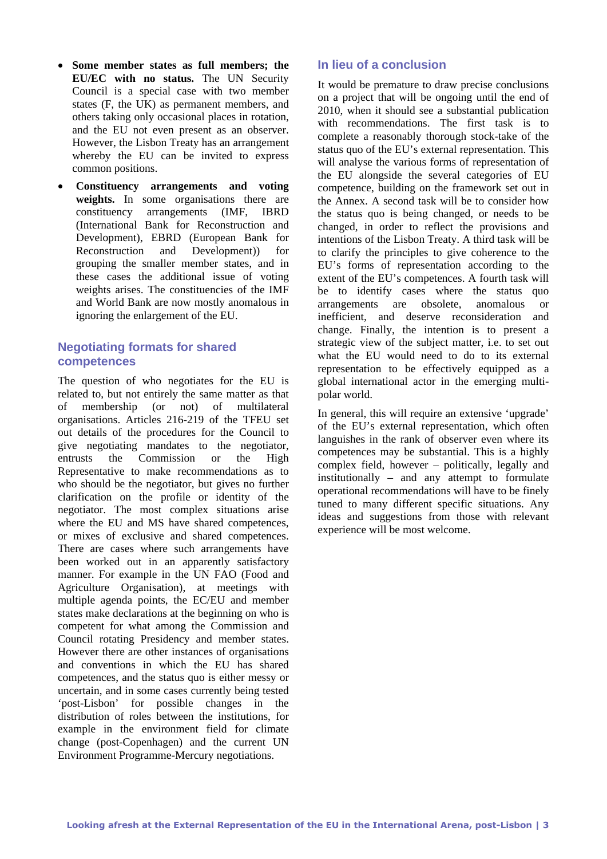- **Some member states as full members; the EU/EC with no status.** The UN Security Council is a special case with two member states (F, the UK) as permanent members, and others taking only occasional places in rotation, and the EU not even present as an observer. However, the Lisbon Treaty has an arrangement whereby the EU can be invited to express common positions.
- **Constituency arrangements and voting weights.** In some organisations there are constituency arrangements (IMF, IBRD (International Bank for Reconstruction and Development), EBRD (European Bank for Reconstruction and Development)) for grouping the smaller member states, and in these cases the additional issue of voting weights arises. The constituencies of the IMF and World Bank are now mostly anomalous in ignoring the enlargement of the EU.

## **Negotiating formats for shared competences**

The question of who negotiates for the EU is related to, but not entirely the same matter as that of membership (or not) of multilateral organisations. Articles 216-219 of the TFEU set out details of the procedures for the Council to give negotiating mandates to the negotiator, entrusts the Commission or the High Representative to make recommendations as to who should be the negotiator, but gives no further clarification on the profile or identity of the negotiator. The most complex situations arise where the EU and MS have shared competences, or mixes of exclusive and shared competences. There are cases where such arrangements have been worked out in an apparently satisfactory manner. For example in the UN FAO (Food and Agriculture Organisation), at meetings with multiple agenda points, the EC/EU and member states make declarations at the beginning on who is competent for what among the Commission and Council rotating Presidency and member states. However there are other instances of organisations and conventions in which the EU has shared competences, and the status quo is either messy or uncertain, and in some cases currently being tested 'post-Lisbon' for possible changes in the distribution of roles between the institutions, for example in the environment field for climate change (post-Copenhagen) and the current UN Environment Programme-Mercury negotiations.

#### **In lieu of a conclusion**

It would be premature to draw precise conclusions on a project that will be ongoing until the end of 2010, when it should see a substantial publication with recommendations. The first task is to complete a reasonably thorough stock-take of the status quo of the EU's external representation. This will analyse the various forms of representation of the EU alongside the several categories of EU competence, building on the framework set out in the Annex. A second task will be to consider how the status quo is being changed, or needs to be changed, in order to reflect the provisions and intentions of the Lisbon Treaty. A third task will be to clarify the principles to give coherence to the EU's forms of representation according to the extent of the EU's competences. A fourth task will be to identify cases where the status quo arrangements are obsolete, anomalous or inefficient, and deserve reconsideration and change. Finally, the intention is to present a strategic view of the subject matter, i.e. to set out what the EU would need to do to its external representation to be effectively equipped as a global international actor in the emerging multipolar world.

In general, this will require an extensive 'upgrade' of the EU's external representation, which often languishes in the rank of observer even where its competences may be substantial. This is a highly complex field, however – politically, legally and institutionally – and any attempt to formulate operational recommendations will have to be finely tuned to many different specific situations. Any ideas and suggestions from those with relevant experience will be most welcome.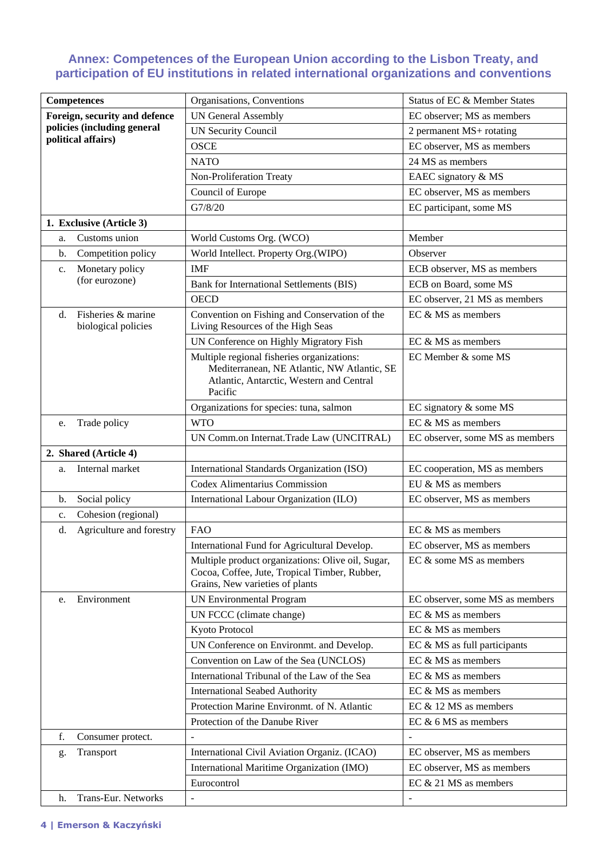#### **Annex: Competences of the European Union according to the Lisbon Treaty, and participation of EU institutions in related international organizations and conventions**

| Competences                                     | Organisations, Conventions                                                                                                                       | Status of EC & Member States    |  |
|-------------------------------------------------|--------------------------------------------------------------------------------------------------------------------------------------------------|---------------------------------|--|
| Foreign, security and defence                   | <b>UN General Assembly</b>                                                                                                                       | EC observer; MS as members      |  |
| policies (including general                     | <b>UN Security Council</b>                                                                                                                       | 2 permanent MS+ rotating        |  |
| political affairs)                              | <b>OSCE</b>                                                                                                                                      | EC observer, MS as members      |  |
|                                                 | <b>NATO</b>                                                                                                                                      | 24 MS as members                |  |
|                                                 | Non-Proliferation Treaty                                                                                                                         | EAEC signatory & MS             |  |
|                                                 | Council of Europe                                                                                                                                | EC observer, MS as members      |  |
|                                                 | G7/8/20                                                                                                                                          | EC participant, some MS         |  |
| 1. Exclusive (Article 3)                        |                                                                                                                                                  |                                 |  |
| Customs union<br>a.                             | World Customs Org. (WCO)                                                                                                                         | Member                          |  |
| Competition policy<br>b.                        | World Intellect. Property Org.(WIPO)                                                                                                             | Observer                        |  |
| Monetary policy<br>c.                           | <b>IMF</b>                                                                                                                                       | ECB observer, MS as members     |  |
| (for eurozone)                                  | Bank for International Settlements (BIS)                                                                                                         | ECB on Board, some MS           |  |
|                                                 | <b>OECD</b>                                                                                                                                      | EC observer, 21 MS as members   |  |
| Fisheries & marine<br>d.<br>biological policies | Convention on Fishing and Conservation of the<br>Living Resources of the High Seas                                                               | EC & MS as members              |  |
|                                                 | UN Conference on Highly Migratory Fish                                                                                                           | EC & MS as members              |  |
|                                                 | Multiple regional fisheries organizations:<br>Mediterranean, NE Atlantic, NW Atlantic, SE<br>Atlantic, Antarctic, Western and Central<br>Pacific | EC Member & some MS             |  |
|                                                 | Organizations for species: tuna, salmon                                                                                                          | EC signatory & some MS          |  |
| Trade policy<br>e.                              | <b>WTO</b>                                                                                                                                       | EC & MS as members              |  |
|                                                 | UN Comm.on Internat.Trade Law (UNCITRAL)                                                                                                         | EC observer, some MS as members |  |
| 2. Shared (Article 4)                           |                                                                                                                                                  |                                 |  |
| Internal market<br>a.                           | International Standards Organization (ISO)                                                                                                       | EC cooperation, MS as members   |  |
|                                                 | Codex Alimentarius Commission                                                                                                                    | EU & MS as members              |  |
| Social policy<br>b.                             | International Labour Organization (ILO)                                                                                                          | EC observer, MS as members      |  |
| Cohesion (regional)<br>c.                       |                                                                                                                                                  |                                 |  |
| Agriculture and forestry<br>d.                  | <b>FAO</b>                                                                                                                                       | EC & MS as members              |  |
|                                                 | International Fund for Agricultural Develop.                                                                                                     | EC observer, MS as members      |  |
|                                                 | Multiple product organizations: Olive oil, Sugar,<br>Cocoa, Coffee, Jute, Tropical Timber, Rubber,<br>Grains, New varieties of plants            | EC & some MS as members         |  |
| Environment<br>e.                               | <b>UN Environmental Program</b>                                                                                                                  | EC observer, some MS as members |  |
|                                                 | UN FCCC (climate change)                                                                                                                         | EC & MS as members              |  |
|                                                 | Kyoto Protocol                                                                                                                                   | EC & MS as members              |  |
|                                                 | UN Conference on Environmt. and Develop.                                                                                                         | EC & MS as full participants    |  |
|                                                 | Convention on Law of the Sea (UNCLOS)                                                                                                            | EC & MS as members              |  |
|                                                 | International Tribunal of the Law of the Sea                                                                                                     | EC & MS as members              |  |
|                                                 | <b>International Seabed Authority</b>                                                                                                            | EC & MS as members              |  |
|                                                 | Protection Marine Environmt. of N. Atlantic                                                                                                      | EC $&$ 12 MS as members         |  |
|                                                 | Protection of the Danube River                                                                                                                   | EC $& 6$ MS as members          |  |
| f.<br>Consumer protect.                         |                                                                                                                                                  | $\overline{a}$                  |  |
| Transport<br>g.                                 | International Civil Aviation Organiz. (ICAO)                                                                                                     | EC observer, MS as members      |  |
|                                                 | International Maritime Organization (IMO)                                                                                                        | EC observer, MS as members      |  |
|                                                 | Eurocontrol                                                                                                                                      | EC & 21 MS as members           |  |
| Trans-Eur. Networks<br>h.                       | $\overline{\phantom{a}}$                                                                                                                         | $\qquad \qquad \blacksquare$    |  |